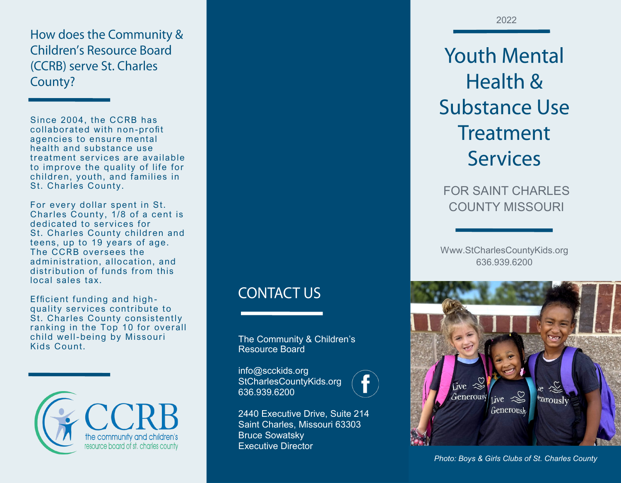How does the Community & **Children's Resource Board** (CCRB) serve St. Charles County?

Since 2004, the CCRB has collaborated with non-profit agencies to ensure mental health and substance use treatment services are available to improve the quality of life for children, youth, and families in St. Charles County.

For every dollar spent in St. Charles County, 1/8 of a cent is dedicated to services for St. Charles County children and teens, up to 19 years of age. The CCRB oversees the administration, allocation, and distribution of funds from this local sales tax.

Efficient funding and high quality services contribute to St. Charles County consistently ranking in the Top 10 for overall child well-being by Missouri Kids Count.



**CONTACT US** 

The Community & Children's Resource Board

info@scckids.org StCharlesCountyKids.org 636.939.6200



**Youth Mental** Health & **Substance Use Treatment Services** 

FOR SAINT CHARLES COUNTY MISSOURI

Www.StCharlesCountyKids.org 636.939.6200